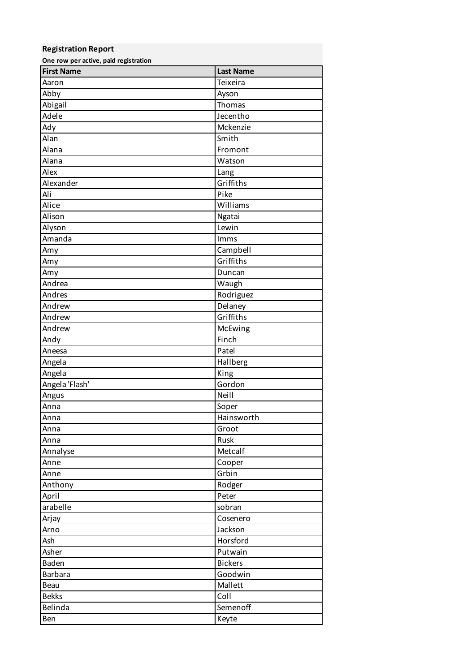## **Registration Report One row per active, paid registration First Name Last Name** Aaron **Aaron** Teixeira Abby **Abby** Ayson Abigail **Abigail Thomas** Adele Jecentho Ady Mckenzie Alan Smith Smith Alana **Fromont** Alana Watson Alex **Alex Lang** Alexander Griffiths Ali Pike Alice Williams Alison Ngatai Alyson Lewin Amanda **Imms** Amy Campbell Amy Griffiths Amy Duncan Andrea Waugh Andres Rodriguez Andrew Delaney Andrew Griffiths Andrew McEwing Andy **Finch** Aneesa Patel Angela **Hallberg** Angela **King** Angela 'Flash' Gordon Angus Neill and Angus Anna Soper Anna **Hainsworth** Anna **Groot** Anna anns an t-Iomraid anns an t-Iomraid anns an t-Iomraid anns an t-Iomraid anns an t-Iomraid anns an t-Iomra Annalyse Metcalf Anne Cooper Anne Group and Group and Group and Group and Group and Group and Group and Group and Group and Group and Group Anthony Rodger April Peter arabelle sobran sobran sobran sobran sobran sobran sobran sobran sobran sobran sobran sobran sobran sobran sob Arjay Cosenero Arno Jackson and Jackson Ash **Horsford** Asher Putwain Baden **Baden** Bickers **Baden** Barbara **Barbara** Goodwin Beau **Mallett** Bekks Coll Belinda Semenoff Ben Keyte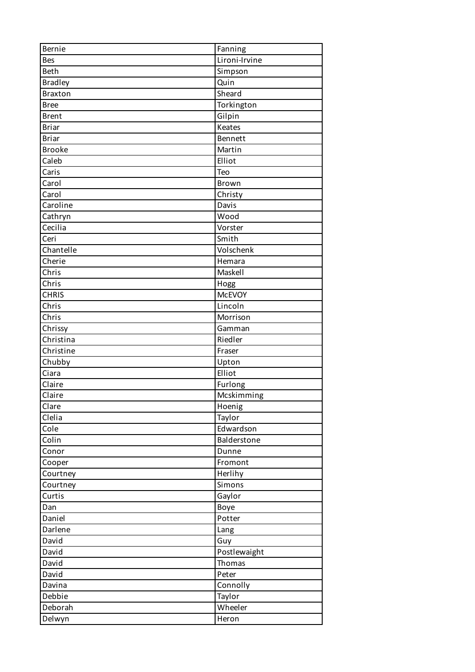| <b>Bernie</b>  | Fanning       |
|----------------|---------------|
| <b>Bes</b>     | Lironi-Irvine |
| <b>Beth</b>    | Simpson       |
| <b>Bradley</b> | Quin          |
| <b>Braxton</b> | Sheard        |
| <b>Bree</b>    | Torkington    |
| <b>Brent</b>   | Gilpin        |
| <b>Briar</b>   | Keates        |
| <b>Briar</b>   | Bennett       |
| <b>Brooke</b>  | Martin        |
| Caleb          | Elliot        |
| Caris          | Teo           |
| Carol          | <b>Brown</b>  |
| Carol          | Christy       |
| Caroline       | Davis         |
| Cathryn        | Wood          |
| Cecilia        | Vorster       |
| Ceri           | Smith         |
| Chantelle      | Volschenk     |
| Cherie         | Hemara        |
| Chris          | Maskell       |
| Chris          | Hogg          |
| <b>CHRIS</b>   | <b>McEVOY</b> |
| Chris          | Lincoln       |
| Chris          | Morrison      |
| Chrissy        | Gamman        |
| Christina      | Riedler       |
| Christine      | Fraser        |
| Chubby         | Upton         |
| Ciara          | Elliot        |
| Claire         | Furlong       |
| Claire         | Mcskimming    |
| Clare          | Hoenig        |
| Clelia         | Taylor        |
| Cole           | Edwardson     |
| Colin          | Balderstone   |
| Conor          | Dunne         |
| Cooper         | Fromont       |
| Courtney       | Herlihy       |
| Courtney       | Simons        |
| Curtis         | Gaylor        |
| Dan            | Boye          |
| Daniel         | Potter        |
|                |               |
| Darlene        | Lang          |
| David          | Guy           |
| David          | Postlewaight  |
| David          | Thomas        |
| David          | Peter         |
| Davina         | Connolly      |
| Debbie         | Taylor        |
| Deborah        | Wheeler       |
| Delwyn         | Heron         |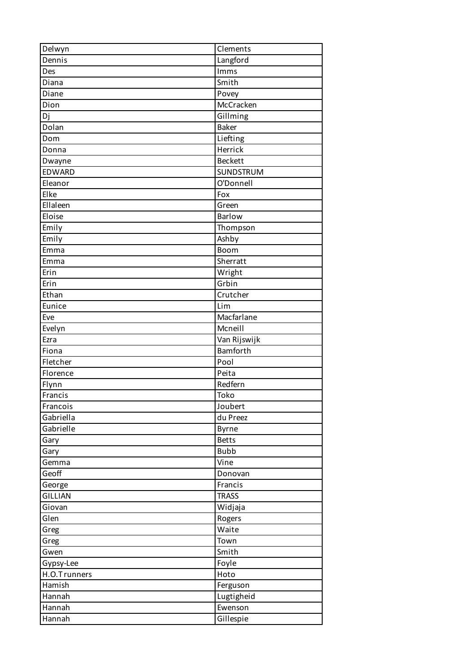| Delwyn              | Clements       |
|---------------------|----------------|
| Dennis              | Langford       |
| Des                 | Imms           |
| Diana               | Smith          |
| Diane               | Povey          |
| Dion                | McCracken      |
| Dj                  | Gillming       |
| Dolan               | <b>Baker</b>   |
| Dom                 | Liefting       |
| Donna               | Herrick        |
| Dwayne              | <b>Beckett</b> |
| EDWARD              | SUNDSTRUM      |
| Eleanor             | O'Donnell      |
| Elke                | Fox            |
| Ellaleen            | Green          |
| Eloise              | <b>Barlow</b>  |
| Emily               | Thompson       |
| Emily               | Ashby          |
| Emma                | Boom           |
| Emma                | Sherratt       |
| Erin                | Wright         |
| Erin                | Grbin          |
| Ethan               | Crutcher       |
| Eunice              | Lim            |
| Eve                 | Macfarlane     |
| Evelyn              | Mcneill        |
| Ezra                | Van Rijswijk   |
| Fiona               | Bamforth       |
| Fletcher            | Pool           |
| Florence            | Peita          |
|                     | Redfern        |
| Flynn<br>$F$ rancis | Toko           |
| Francois            | Joubert        |
| Gabriella           |                |
|                     | du Preez       |
| Gabrielle           | Byrne          |
| Gary                | <b>Betts</b>   |
| Gary                | <b>Bubb</b>    |
| Gemma               | Vine           |
| Geoff               | Donovan        |
| George              | Francis        |
| <b>GILLIAN</b>      | <b>TRASS</b>   |
| Giovan              | Widjaja        |
| Glen                | Rogers         |
| Greg                | Waite          |
| Greg                | Town           |
| Gwen                | Smith          |
| Gypsy-Lee           | Foyle          |
| H.O.Trunners        | Hoto           |
| Hamish              | Ferguson       |
| Hannah              | Lugtigheid     |
| Hannah              | Ewenson        |
| Hannah              | Gillespie      |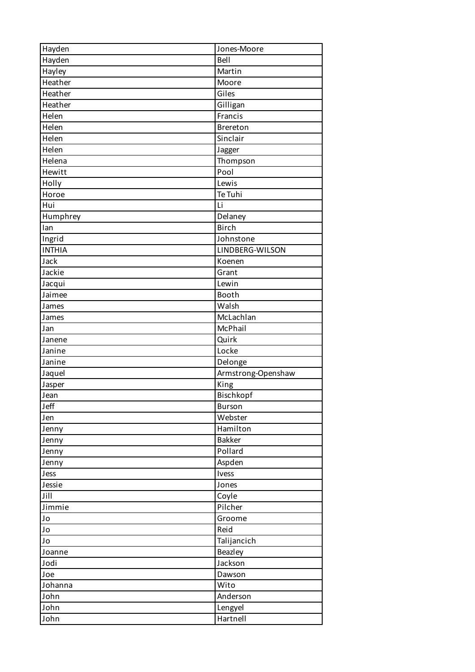| Hayden        | Jones-Moore        |
|---------------|--------------------|
| Hayden        | Bell               |
| Hayley        | Martin             |
| Heather       | Moore              |
| Heather       | Giles              |
| Heather       | Gilligan           |
| Helen         | Francis            |
| Helen         | Brereton           |
| Helen         | Sinclair           |
| Helen         | Jagger             |
| Helena        | Thompson           |
| Hewitt        | Pool               |
| Holly         | Lewis              |
| Horoe         | Te Tuhi            |
| Hui           | Li                 |
| Humphrey      | Delaney            |
| lan           | <b>Birch</b>       |
| Ingrid        | Johnstone          |
| <b>INTHIA</b> | LINDBERG-WILSON    |
| Jack          | Koenen             |
| Jackie        | Grant              |
|               | Lewin              |
| Jacqui        | Booth              |
| Jaimee        |                    |
| James         | Walsh              |
| James         | McLachlan          |
| Jan           | McPhail            |
| Janene        | Quirk              |
| Janine        | Locke              |
| Janine        | Delonge            |
| Jaquel        | Armstrong-Openshaw |
| Jasper        | King               |
| Jean          | Bischkopf          |
| Jeff          | <b>Burson</b>      |
| Jen           | Webster            |
| Jenny         | Hamilton           |
| Jenny         | <b>Bakker</b>      |
| Jenny         | Pollard            |
| Jenny         | Aspden             |
| Jess          | Ivess              |
| Jessie        | Jones              |
| Jill          | Coyle              |
| Jimmie        | Pilcher            |
| Jo            | Groome             |
| Jo            | Reid               |
| Jo            | Talijancich        |
| Joanne        | Beazley            |
| Jodi          | Jackson            |
| Joe           | Dawson             |
| Johanna       | Wito               |
| John          | Anderson           |
| John          | Lengyel            |
| John          | Hartnell           |
|               |                    |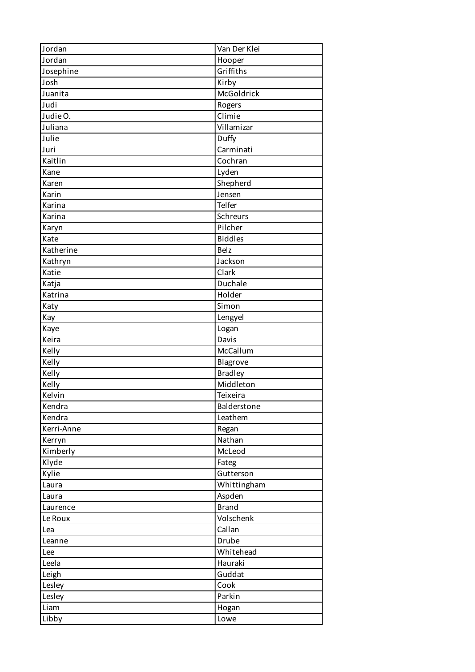| Jordan     | Van Der Klei   |
|------------|----------------|
| Jordan     | Hooper         |
| Josephine  | Griffiths      |
| Josh       | Kirby          |
| Juanita    | McGoldrick     |
| Judi       | Rogers         |
| Judie O.   | Climie         |
| Juliana    | Villamizar     |
| Julie      | Duffy          |
| Juri       | Carminati      |
| Kaitlin    | Cochran        |
| Kane       | Lyden          |
| Karen      | Shepherd       |
| Karin      | Jensen         |
| Karina     | Telfer         |
| Karina     | Schreurs       |
| Karyn      | Pilcher        |
| Kate       | <b>Biddles</b> |
| Katherine  | <b>Belz</b>    |
| Kathryn    | Jackson        |
| Katie      | Clark          |
| Katja      | Duchale        |
| Katrina    | Holder         |
| Katy       | Simon          |
| Kay        | Lengyel        |
| Kaye       | Logan          |
| Keira      | Davis          |
| Kelly      | McCallum       |
| Kelly      | Blagrove       |
| Kelly      | <b>Bradley</b> |
| Kelly      | Middleton      |
| Kelvin     | Teixeira       |
| Kendra     | Balderstone    |
| Kendra     | Leathem        |
| Kerri-Anne | Regan          |
| Kerryn     | Nathan         |
| Kimberly   | McLeod         |
| Klyde      | Fateg          |
| Kylie      | Gutterson      |
| Laura      | Whittingham    |
| Laura      | Aspden         |
| Laurence   | <b>Brand</b>   |
| Le Roux    | Volschenk      |
| Lea        | Callan         |
| Leanne     | Drube          |
| Lee        | Whitehead      |
| Leela      | Hauraki        |
| Leigh      | Guddat         |
| Lesley     | Cook           |
| Lesley     | Parkin         |
| Liam       | Hogan          |
| Libby      | Lowe           |
|            |                |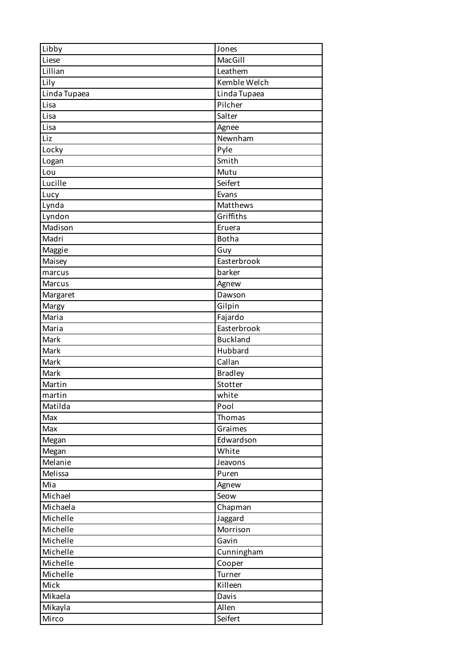| Libby        | Jones           |
|--------------|-----------------|
| Liese        | MacGill         |
| Lillian      | Leathem         |
| Lily         | Kemble Welch    |
| Linda Tupaea | Linda Tupaea    |
| Lisa         | Pilcher         |
| Lisa         | Salter          |
| Lisa         | Agnee           |
| Liz          | Newnham         |
| Locky        | Pyle            |
| Logan        | Smith           |
| Lou          | Mutu            |
| Lucille      | Seifert         |
| Lucy         | Evans           |
| Lynda        | Matthews        |
| Lyndon       | Griffiths       |
| Madison      | Eruera          |
| Madri        | <b>Botha</b>    |
| Maggie       | Guy             |
| Maisey       | Easterbrook     |
| marcus       | barker          |
| Marcus       | Agnew           |
| Margaret     | Dawson          |
| Margy        | Gilpin          |
| Maria        | Fajardo         |
| Maria        | Easterbrook     |
| Mark         | <b>Buckland</b> |
| Mark         | Hubbard         |
| Mark         | Callan          |
| Mark         | <b>Bradley</b>  |
| Martin       | Stotter         |
| martin       | white           |
| Matilda      | Pool            |
| Max          | Thomas          |
| Max          | Graimes         |
| Megan        | Edwardson       |
| Megan        | White           |
| Melanie      | Jeavons         |
| Melissa      | Puren           |
| Mia          | Agnew           |
| Michael      | Seow            |
| Michaela     | Chapman         |
| Michelle     | Jaggard         |
| Michelle     | Morrison        |
| Michelle     | Gavin           |
| Michelle     | Cunningham      |
| Michelle     | Cooper          |
| Michelle     | Turner          |
| Mick         | Killeen         |
| Mikaela      | Davis           |
| Mikayla      | Allen           |
| Mirco        | Seifert         |
|              |                 |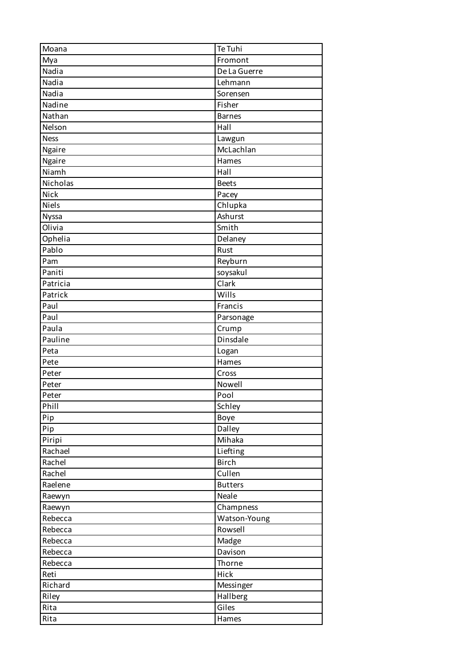| Moana        | Te Tuhi        |
|--------------|----------------|
| Mya          | Fromont        |
| Nadia        | De La Guerre   |
| Nadia        | Lehmann        |
| Nadia        | Sorensen       |
| Nadine       | Fisher         |
| Nathan       | <b>Barnes</b>  |
| Nelson       | Hall           |
| <b>Ness</b>  | Lawgun         |
| Ngaire       | McLachlan      |
| Ngaire       | Hames          |
| Niamh        | Hall           |
| Nicholas     | <b>Beets</b>   |
| Nick         | Pacey          |
| <b>Niels</b> | Chlupka        |
| Nyssa        | Ashurst        |
| Olivia       | Smith          |
| Ophelia      | Delaney        |
| Pablo        | Rust           |
| Pam          | Reyburn        |
| Paniti       | soysakul       |
| Patricia     | Clark          |
| Patrick      | Wills          |
| Paul         | Francis        |
| Paul         | Parsonage      |
| Paula        | Crump          |
| Pauline      | Dinsdale       |
| Peta         | Logan          |
| Pete         | Hames          |
| Peter        | Cross          |
| Peter        | Nowell         |
| Peter        | Pool           |
| Phill        | Schley         |
| Pip          | Boye           |
| Pip          | Dalley         |
| Piripi       | Mihaka         |
| Rachael      | Liefting       |
| Rachel       | <b>Birch</b>   |
| Rachel       | Cullen         |
| Raelene      | <b>Butters</b> |
| Raewyn       | Neale          |
| Raewyn       | Champness      |
| Rebecca      | Watson-Young   |
| Rebecca      | Rowsell        |
| Rebecca      | Madge          |
| Rebecca      | Davison        |
| Rebecca      | Thorne         |
|              |                |
| Reti         | Hick           |
| Richard      | Messinger      |
| Riley        | Hallberg       |
| Rita         | Giles          |
| Rita         | Hames          |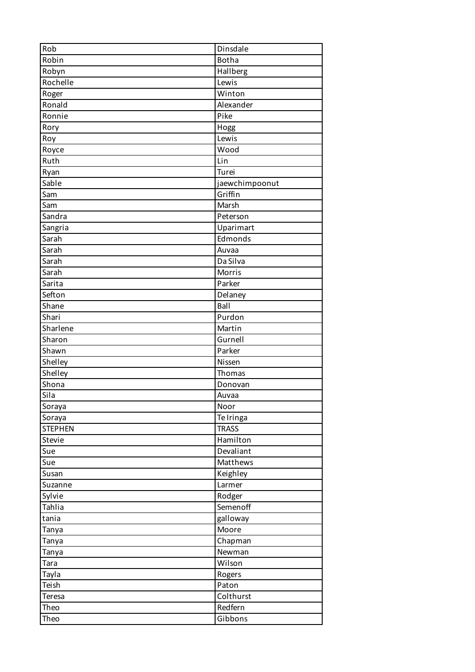| Rob            | Dinsdale       |
|----------------|----------------|
| Robin          | <b>Botha</b>   |
| Robyn          | Hallberg       |
| Rochelle       | Lewis          |
| Roger          | Winton         |
| Ronald         | Alexander      |
| Ronnie         | Pike           |
| Rory           | Hogg           |
| Roy            | Lewis          |
| Royce          | Wood           |
| Ruth           | Lin            |
| Ryan           | Turei          |
| Sable          | jaewchimpoonut |
| Sam            | Griffin        |
| Sam            | Marsh          |
| Sandra         | Peterson       |
| Sangria        | Uparimart      |
| Sarah          | Edmonds        |
| Sarah          | Auvaa          |
| Sarah          | Da Silva       |
| Sarah          | Morris         |
| Sarita         | Parker         |
| Sefton         | Delaney        |
| Shane          | Ball           |
| Shari          | Purdon         |
| Sharlene       | Martin         |
| Sharon         | Gurnell        |
| Shawn          | Parker         |
| Shelley        | Nissen         |
| Shelley        | Thomas         |
| Shona          | Donovan        |
| Sila           | Auvaa          |
| Soraya         | Noor           |
| Soraya         | Te Iringa      |
| <b>STEPHEN</b> | <b>TRASS</b>   |
| Stevie         | Hamilton       |
| Sue            | Devaliant      |
| Sue            | Matthews       |
| Susan          | Keighley       |
| Suzanne        | Larmer         |
| Sylvie         | Rodger         |
| Tahlia         | Semenoff       |
| tania          | galloway       |
| Tanya          | Moore          |
| Tanya          | Chapman        |
| Tanya          | Newman         |
| Tara           | Wilson         |
| Tayla          | Rogers         |
| Teish          | Paton          |
| Teresa         | Colthurst      |
| Theo           | Redfern        |
| Theo           | Gibbons        |
|                |                |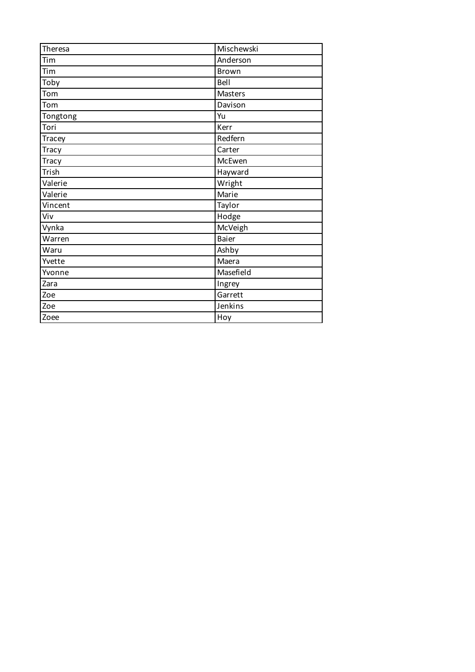| Theresa      | Mischewski   |
|--------------|--------------|
| Tim          | Anderson     |
| Tim          | <b>Brown</b> |
| Toby         | Bell         |
| Tom          | Masters      |
| Tom          | Davison      |
| Tongtong     | Yu           |
| Tori         | Kerr         |
| Tracey       | Redfern      |
| <b>Tracy</b> | Carter       |
| <b>Tracy</b> | McEwen       |
| Trish        | Hayward      |
| Valerie      | Wright       |
| Valerie      | Marie        |
| Vincent      | Taylor       |
| Viv          | Hodge        |
| Vynka        | McVeigh      |
| Warren       | <b>Baier</b> |
| Waru         | Ashby        |
| Yvette       | Maera        |
| Yvonne       | Masefield    |
| Zara         | Ingrey       |
| Zoe          | Garrett      |
| Zoe          | Jenkins      |
| Zoee         | Hoy          |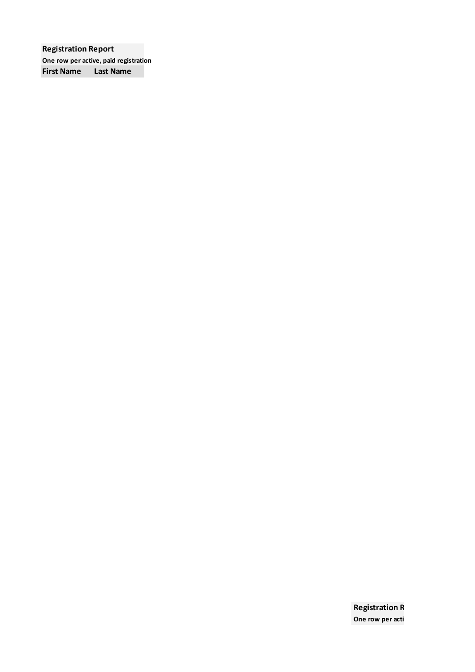**Registration Report One row per active, paid registration First Name Last Name**

> **Registration R One row per acti**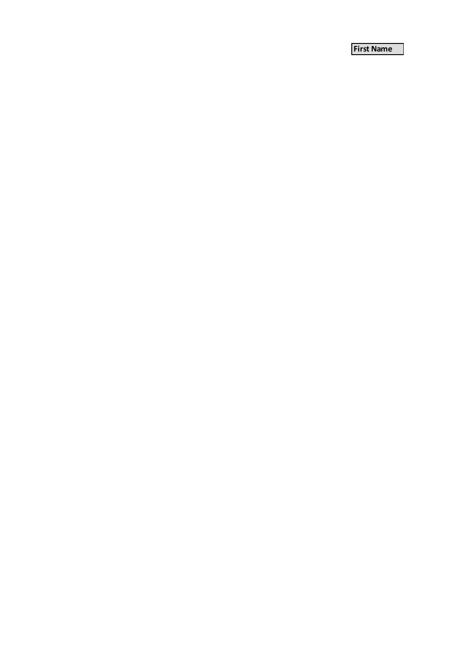**First Name**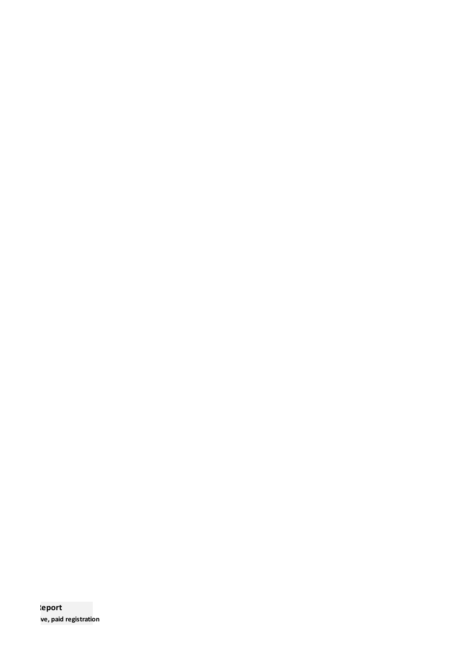**Report ve**, paid registration